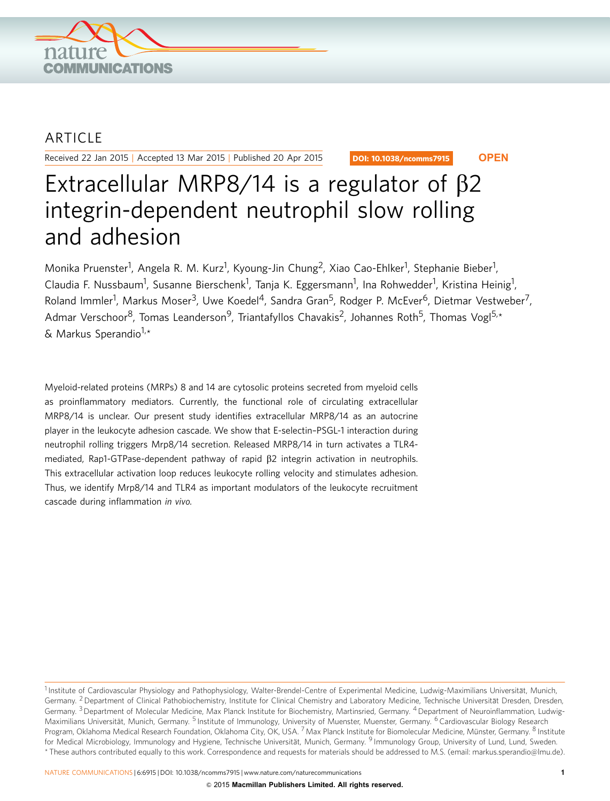

## ARTICLE

Received 22 Jan 2015 | Accepted 13 Mar 2015 | Published 20 Apr 2015

DOI: 10.1038/ncomms7915 **OPEN**

# Extracellular MRP8/14 is a regulator of  $\beta$ 2 integrin-dependent neutrophil slow rolling and adhesion

Monika Pruenster<sup>1</sup>, Angela R. M. Kurz<sup>1</sup>, Kyoung-Jin Chung<sup>2</sup>, Xiao Cao-Ehlker<sup>1</sup>, Stephanie Bieber<sup>1</sup>, Claudia F. Nussbaum<sup>1</sup>, Susanne Bierschenk<sup>1</sup>, Tanja K. Eggersmann<sup>1</sup>, Ina Rohwedder<sup>1</sup>, Kristina Heinig<sup>1</sup>, Roland Immler<sup>1</sup>, Markus Moser<sup>3</sup>, Uwe Koedel<sup>4</sup>, Sandra Gran<sup>5</sup>, Rodger P. McEver<sup>6</sup>, Dietmar Vestweber<sup>7</sup>, Admar Verschoor<sup>8</sup>, Tomas Leanderson<sup>9</sup>, Triantafyllos Chavakis<sup>2</sup>, Johannes Roth<sup>5</sup>, Thomas Vogl<sup>5,\*</sup> & Markus Sperandio $1, \star$ 

Myeloid-related proteins (MRPs) 8 and 14 are cytosolic proteins secreted from myeloid cells as proinflammatory mediators. Currently, the functional role of circulating extracellular MRP8/14 is unclear. Our present study identifies extracellular MRP8/14 as an autocrine player in the leukocyte adhesion cascade. We show that E-selectin–PSGL-1 interaction during neutrophil rolling triggers Mrp8/14 secretion. Released MRP8/14 in turn activates a TLR4 mediated, Rap1-GTPase-dependent pathway of rapid  $\beta$ 2 integrin activation in neutrophils. This extracellular activation loop reduces leukocyte rolling velocity and stimulates adhesion. Thus, we identify Mrp8/14 and TLR4 as important modulators of the leukocyte recruitment cascade during inflammation in vivo.

<sup>&</sup>lt;sup>1</sup> Institute of Cardiovascular Physiology and Pathophysiology, Walter-Brendel-Centre of Experimental Medicine, Ludwig-Maximilians Universität, Munich, Germany. <sup>2</sup> Department of Clinical Pathobiochemistry, Institute for Clinical Chemistry and Laboratory Medicine, Technische Universität Dresden, Dresden, Germany. <sup>3</sup> Department of Molecular Medicine, Max Planck Institute for Biochemistry, Martinsried, Germany. <sup>4</sup> Department of Neuroinflammation, Ludwig-Maximilians Universität, Munich, Germany. <sup>5</sup> Institute of Immunology, University of Muenster, Muenster, Germany. <sup>6</sup> Cardiovascular Biology Research Program, Oklahoma Medical Research Foundation, Oklahoma City, OK, USA. <sup>7</sup> Max Planck Institute for Biomolecular Medicine, Münster, Germany. <sup>8</sup> Institute for Medical Microbiology, Immunology and Hygiene, Technische Universität, Munich, Germany. <sup>9</sup> Immunology Group, University of Lund, Lund, Sweden. \* These authors contributed equally to this work. Correspondence and requests for materials should be addressed to M.S. (email: [markus.sperandio@lmu.de\).](mailto:markus.sperandio@lmu.de))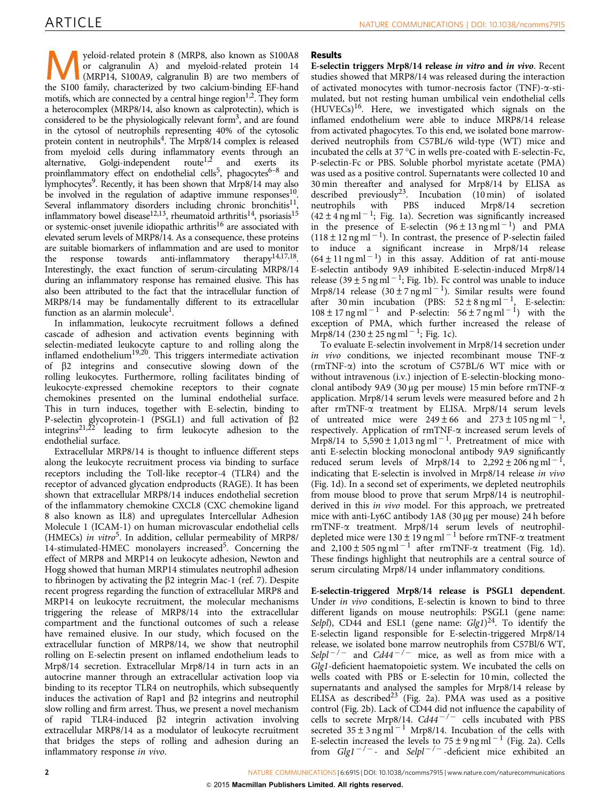Myeloid-related protein 8 (MRP8, also known as S100A8<br>
or calgranulin A) and myeloid-related protein 14<br>
(MRP14, S100A9, calgranulin B) are two members of<br>
the S100 family characterized by two calgium-binding EE-band or calgranulin A) and myeloid-related protein 14 the S100 family, characterized by two calcium-binding EF-hand motifs, which are connected by a central hinge region  $1,2$ . They form a heterocomplex (MRP8/14, also known as calprotectin), which is considered to be the physiologically relevant form<sup>3</sup>, and are found in the cytosol of neutrophils representing 40% of the cytosolic protein content in neutrophils[4](#page-9-0). The Mrp8/14 complex is released from myeloid cells during inflammatory events through an alternative, Golgi-independent route<sup>1,2</sup> and exerts its Golgi-independent route<sup>[1,2](#page-9-0)</sup> proinflammatory effect on endothelial cells<sup>5</sup>, phagocytes<sup>6–8</sup> and lymphocytes<sup>[9](#page-9-0)</sup>. Recently, it has been shown that Mrp8/14 may also be involved in the regulation of adaptive immune  $resposes<sup>10</sup>$ . Several inflammatory disorders including chronic bronchitis $\frac{11}{2}$ inflammatory bowel disease $^{12,13}$ , rheumatoid arthritis $^{14}$ , psoriasis $^{15}$ or systemic-onset juvenile idiopathic arthritis<sup>16</sup> are associated with elevated serum levels of MRP8/14. As a consequence, these proteins are suitable biomarkers of inflammation and are used to monitor<br>the response towards anti-inflammatory therapy<sup>14,17,18</sup>. the response towards anti-inflammatory Interestingly, the exact function of serum-circulating MRP8/14 during an inflammatory response has remained elusive. This has also been attributed to the fact that the intracellular function of MRP8/14 may be fundamentally different to its extracellular function as an alarmin molecule<sup>1</sup>.

In inflammation, leukocyte recruitment follows a defined cascade of adhesion and activation events beginning with selectin-mediated leukocyte capture to and rolling along the inflamed endothelium[19,20.](#page-9-0) This triggers intermediate activation of b2 integrins and consecutive slowing down of the rolling leukocytes. Furthermore, rolling facilitates binding of leukocyte-expressed chemokine receptors to their cognate chemokines presented on the luminal endothelial surface. This in turn induces, together with E-selectin, binding to P-selectin glycoprotein-1 (PSGL1) and full activation of b2 integrins[21,22](#page-9-0) leading to firm leukocyte adhesion to the endothelial surface.

Extracellular MRP8/14 is thought to influence different steps along the leukocyte recruitment process via binding to surface receptors including the Toll-like receptor-4 (TLR4) and the receptor of advanced glycation endproducts (RAGE). It has been shown that extracellular MRP8/14 induces endothelial secretion of the inflammatory chemokine CXCL8 (CXC chemokine ligand 8 also known as IL8) and upregulates Intercellular Adhesion Molecule 1 (ICAM-1) on human microvascular endothelial cells (HMECs) in vitro<sup>5</sup>. In addition, cellular permeability of MRP8/ 14-stimulated-HMEC monolayers increased<sup>[5](#page-9-0)</sup>. Concerning the effect of MRP8 and MRP14 on leukocyte adhesion, Newton and Hogg showed that human MRP14 stimulates neutrophil adhesion to fibrinogen by activating the  $\beta$ 2 integrin Mac-1 ([ref. 7](#page-9-0)). Despite recent progress regarding the function of extracellular MRP8 and MRP14 on leukocyte recruitment, the molecular mechanisms triggering the release of MRP8/14 into the extracellular compartment and the functional outcomes of such a release have remained elusive. In our study, which focused on the extracellular function of MRP8/14, we show that neutrophil rolling on E-selectin present on inflamed endothelium leads to Mrp8/14 secretion. Extracellular Mrp8/14 in turn acts in an autocrine manner through an extracellular activation loop via binding to its receptor TLR4 on neutrophils, which subsequently induces the activation of Rap1 and  $\beta$ 2 integrins and neutrophil slow rolling and firm arrest. Thus, we present a novel mechanism of rapid TLR4-induced  $\beta$ 2 integrin activation involving extracellular MRP8/14 as a modulator of leukocyte recruitment that bridges the steps of rolling and adhesion during an inflammatory response in vivo.

### Results

E-selectin triggers Mrp8/14 release in vitro and in vivo. Recent studies showed that MRP8/14 was released during the interaction of activated monocytes with tumor-necrosis factor (TNF)- $\alpha$ -stimulated, but not resting human umbilical vein endothelial cells  $(HUVECs)^{16}$  $(HUVECs)^{16}$  $(HUVECs)^{16}$ . Here, we investigated which signals on the inflamed endothelium were able to induce MRP8/14 release from activated phagocytes. To this end, we isolated bone marrowderived neutrophils from C57BL/6 wild-type (WT) mice and incubated the cells at  $37^{\circ}$ C in wells pre-coated with E-selectin-Fc, P-selectin-Fc or PBS. Soluble phorbol myristate acetate (PMA) was used as a positive control. Supernatants were collected 10 and 30 min thereafter and analysed for Mrp8/14 by ELISA as described previously<sup>[23](#page-10-0)</sup>. Incubation  $(10 \text{ min})$  of isolated<br>neutrophils with PBS induced Mrp8/14 secretion neutrophils with PBS induced Mrp8/14 secretion  $(42 \pm 4 \text{ ng ml}^{-1})$ ; [Fig. 1a](#page-2-0)). Secretion was significantly increased in the presence of E-selectin  $(96 \pm 13 \text{ ng ml}^{-1})$  and PMA  $(118 \pm 12 \text{ ng m}l^{-1})$ . In contrast, the presence of P-selectin failed to induce a significant increase in Mrp8/14 release  $(64 \pm 11 \text{ ng m}^{-1})$  in this assay. Addition of rat anti-mouse E-selectin antibody 9A9 inhibited E-selectin-induced Mrp8/14 release (39  $\pm$  5 ng ml<sup>-1</sup>; [Fig. 1b\)](#page-2-0). Fc control was unable to induce Mrp8/14 release  $(30 \pm 7 \text{ ng ml}^{-1})$ . Similar results were found after 30 min incubation (PBS:  $52 \pm 8$  ng ml<sup>-1</sup>, E-selectin:  $108 \pm 17$  ng ml<sup>-1</sup> and P-selectin:  $56 \pm 7$  ng ml<sup>-1</sup>) with the exception of PMA, which further increased the release of  $Mrp8/14$  (230 ± 25 ng ml<sup>-1</sup>; [Fig. 1c\)](#page-2-0).

To evaluate E-selectin involvement in Mrp8/14 secretion under in vivo conditions, we injected recombinant mouse  $TNF-\alpha$ ( $r$ mTNF- $\alpha$ ) into the scrotum of C57BL/6 WT mice with or without intravenous (i.v.) injection of E-selectin-blocking monoclonal antibody 9A9 (30 µg per mouse) 15 min before rmTNF- $\alpha$ application. Mrp8/14 serum levels were measured before and 2 h after rmTNF-a treatment by ELISA. Mrp8/14 serum levels of untreated mice were  $249 \pm 66$  and  $273 \pm 105$  ng ml<sup>-1</sup>, respectively. Application of rmTNF-a increased serum levels of Mrp8/14 to  $5,590 \pm 1,013$  ng ml<sup>-1</sup>. Pretreatment of mice with anti E-selectin blocking monoclonal antibody 9A9 significantly reduced serum levels of Mrp8/14 to  $2,292 \pm 206$  ng ml<sup>-1</sup>, indicating that E-selectin is involved in Mrp8/14 release in vivo ([Fig. 1d\)](#page-2-0). In a second set of experiments, we depleted neutrophils from mouse blood to prove that serum Mrp8/14 is neutrophilderived in this in vivo model. For this approach, we pretreated mice with anti-Ly6C antibody 1A8 (30 µg per mouse) 24 h before rmTNF-a treatment. Mrp8/14 serum levels of neutrophildepleted mice were  $130 \pm 19$  ng ml<sup>-1</sup> before rmTNF- $\alpha$  treatment and  $2,100 \pm 505$  ng ml<sup>-1</sup> after rmTNF- $\alpha$  treatment ([Fig. 1d](#page-2-0)). These findings highlight that neutrophils are a central source of serum circulating Mrp8/14 under inflammatory conditions.

E-selectin-triggered Mrp8/14 release is PSGL1 dependent. Under in vivo conditions, E-selectin is known to bind to three different ligands on mouse neutrophils: PSGL1 (gene name: Selpl), CD44 and ESL1 (gene name:  $Glg1)^{24}$  $Glg1)^{24}$  $Glg1)^{24}$ . To identify the E-selectin ligand responsible for E-selectin-triggered Mrp8/14 release, we isolated bone marrow neutrophils from C57Bl/6 WT, Selpl<sup>-/-</sup> and Cd44<sup>-/-</sup> mice, as well as from mice with a Glg1-deficient haematopoietic system. We incubated the cells on wells coated with PBS or E-selectin for 10 min, collected the supernatants and analysed the samples for Mrp8/14 release by ELISA as described<sup>[23](#page-10-0)</sup> ([Fig. 2a](#page-3-0)). PMA was used as a positive control [\(Fig. 2b\)](#page-3-0). Lack of CD44 did not influence the capability of cells to secrete Mrp8/14.  $Cd44^{-/-}$  cells incubated with PBS secreted  $35 \pm 3$  ng ml<sup>-1</sup> Mrp8/14. Incubation of the cells with E-selectin increased the levels to  $75 \pm 9$  ng ml<sup>-1</sup> [\(Fig. 2a](#page-3-0)). Cells from  $Glg1^{-/-}$  and  $Selpl^{-/-}$ -deficient mice exhibited an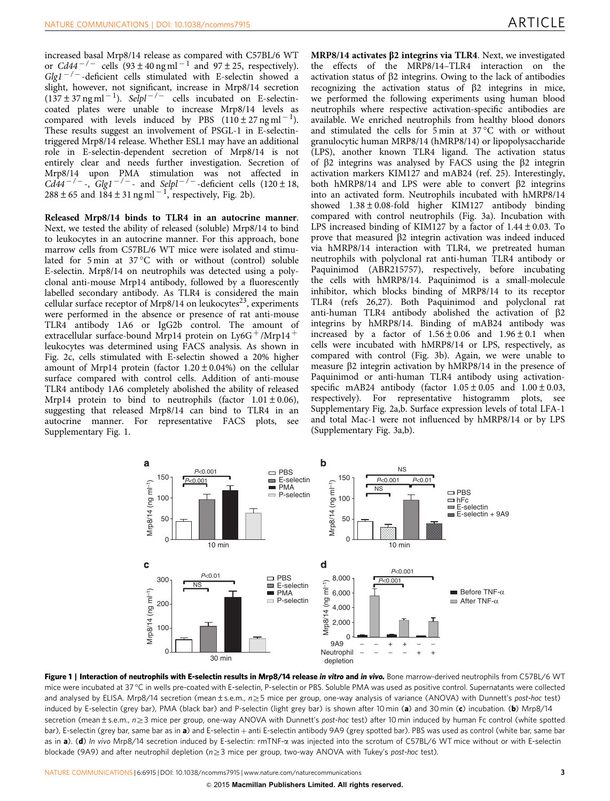<span id="page-2-0"></span>increased basal Mrp8/14 release as compared with C57BL/6 WT or  $Cd44^{-/-}$  cells  $(93 \pm 40 \text{ ng ml}^{-1}$  and  $97 \pm 25$ , respectively).  $Glg1^{-/-}$ -deficient cells stimulated with E-selectin showed a slight, however, not significant, increase in Mrp8/14 secretion  $(137 \pm 37 \text{ ng ml}^{-1})$ . Selpl<sup>-/-</sup> cells incubated on E-selectincoated plates were unable to increase Mrp8/14 levels as compared with levels induced by PBS  $(110 \pm 27 \text{ ng ml}^{-1})$ . These results suggest an involvement of PSGL-1 in E-selectintriggered Mrp8/14 release. Whether ESL1 may have an additional role in E-selectin-dependent secretion of Mrp8/14 is not entirely clear and needs further investigation. Secretion of Mrp8/14 upon PMA stimulation was not affected in  $Cd44^{-/-}$ ,  $Glg1^{-/-}$  and  $Selp1^{-/-}$ -deficient cells (120 ± 18,  $288 \pm 65$  and  $184 \pm 31$  ng ml<sup>-1</sup>, respectively, [Fig. 2b\)](#page-3-0).

Released Mrp8/14 binds to TLR4 in an autocrine manner. Next, we tested the ability of released (soluble) Mrp8/14 to bind to leukocytes in an autocrine manner. For this approach, bone marrow cells from C57BL/6 WT mice were isolated and stimulated for  $5 \text{ min}$  at  $37 \degree C$  with or without (control) soluble E-selectin. Mrp8/14 on neutrophils was detected using a polyclonal anti-mouse Mrp14 antibody, followed by a fluorescently labelled secondary antibody. As TLR4 is considered the main cellular surface receptor of Mrp8/14 on leukocytes<sup>23</sup>, experiments were performed in the absence or presence of rat anti-mouse TLR4 antibody 1A6 or IgG2b control. The amount of extracellular surface-bound Mrp14 protein on Ly6G +/Mrp14 + leukocytes was determined using FACS analysis. As shown in [Fig. 2c](#page-3-0), cells stimulated with E-selectin showed a 20% higher amount of Mrp14 protein (factor  $1.20 \pm 0.04\%$ ) on the cellular surface compared with control cells. Addition of anti-mouse TLR4 antibody 1A6 completely abolished the ability of released Mrp14 protein to bind to neutrophils (factor  $1.01 \pm 0.06$ ), suggesting that released Mrp8/14 can bind to TLR4 in an autocrine manner. For representative FACS plots, see Supplementary Fig. 1.

MRP8/14 activates  $\beta$ 2 integrins via TLR4. Next, we investigated the effects of the MRP8/14–TLR4 interaction on the activation status of  $\beta$ 2 integrins. Owing to the lack of antibodies recognizing the activation status of  $\beta$ 2 integrins in mice, we performed the following experiments using human blood neutrophils where respective activation-specific antibodies are available. We enriched neutrophils from healthy blood donors and stimulated the cells for  $5 \text{ min}$  at  $37 \degree C$  with or without granulocytic human MRP8/14 (hMRP8/14) or lipopolysaccharide (LPS), another known TLR4 ligand. The activation status of  $\beta$ 2 integrins was analysed by FACS using the  $\beta$ 2 integrin activation markers KIM127 and mAB24 [\(ref. 25](#page-10-0)). Interestingly, both  $hMRP8/14$  and LPS were able to convert  $\beta$ 2 integrins into an activated form. Neutrophils incubated with hMRP8/14 showed 1.38±0.08-fold higher KIM127 antibody binding compared with control neutrophils [\(Fig. 3a\)](#page-4-0). Incubation with LPS increased binding of KIM127 by a factor of  $1.44 \pm 0.03$ . To prove that measured  $\beta$ 2 integrin activation was indeed induced via hMRP8/14 interaction with TLR4, we pretreated human neutrophils with polyclonal rat anti-human TLR4 antibody or Paquinimod (ABR215757), respectively, before incubating the cells with hMRP8/14. Paquinimod is a small-molecule inhibitor, which blocks binding of MRP8/14 to its receptor TLR4 [\(refs 26,27\)](#page-10-0). Both Paquinimod and polyclonal rat anti-human TLR4 antibody abolished the activation of b2 integrins by hMRP8/14. Binding of mAB24 antibody was increased by a factor of  $1.56 \pm 0.06$  and  $1.96 \pm 0.1$  when cells were incubated with hMRP8/14 or LPS, respectively, as compared with control ([Fig. 3b](#page-4-0)). Again, we were unable to measure  $\beta$ 2 integrin activation by hMRP8/14 in the presence of Paquinimod or anti-human TLR4 antibody using activationspecific mAB24 antibody (factor  $1.05 \pm 0.05$  and  $1.00 \pm 0.03$ , respectively). For representative histogramm plots, see Supplementary Fig. 2a,b. Surface expression levels of total LFA-1 and total Mac-1 were not influenced by hMRP8/14 or by LPS (Supplementary Fig. 3a,b).



Figure 1 | Interaction of neutrophils with E-selectin results in Mrp8/14 release in vitro and in vivo. Bone marrow-derived neutrophils from C57BL/6 WT mice were incubated at 37 °C in wells pre-coated with E-selectin, P-selectin or PBS. Soluble PMA was used as positive control. Supernatants were collected and analysed by ELISA. Mrp8/14 secretion (mean  $\pm$  s.e.m.,  $n \geq 5$  mice per group, one-way analysis of variance (ANOVA) with Dunnett's post-hoc test) induced by E-selectin (grey bar), PMA (black bar) and P-selectin (light grey bar) is shown after 10 min (a) and 30 min (c) incubation. (b) Mrp8/14 secretion (mean  $\pm$  s.e.m.,  $n\geq 3$  mice per group, one-way ANOVA with Dunnett's post-hoc test) after 10 min induced by human Fc control (white spotted bar), E-selectin (grey bar, same bar as in a) and E-selectin + anti E-selectin antibody 9A9 (grey spotted bar). PBS was used as control (white bar, same bar as in a). (d) In vivo Mrp8/14 secretion induced by E-selectin: rmTNF- $\alpha$  was injected into the scrotum of C57BL/6 WT mice without or with E-selectin blockade (9A9) and after neutrophil depletion ( $n\geq3$  mice per group, two-way ANOVA with Tukey's post-hoc test).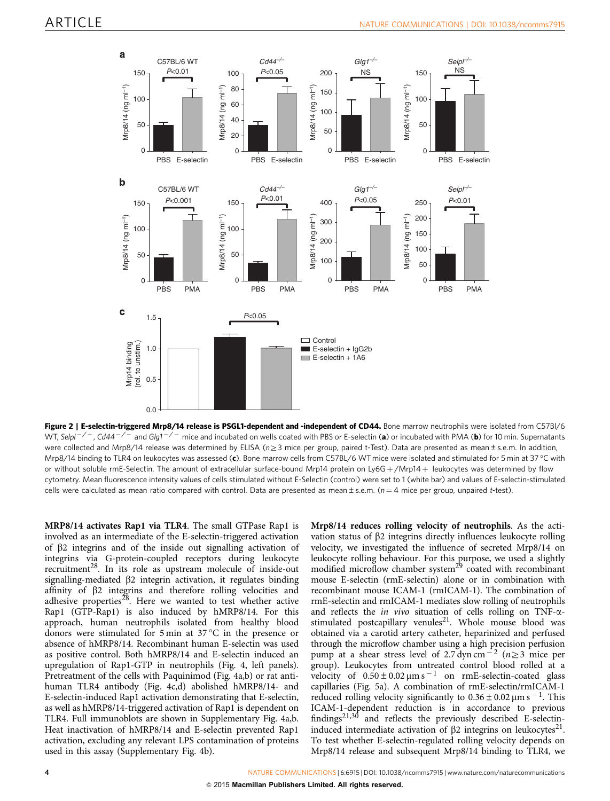<span id="page-3-0"></span>

Figure 2 | E-selectin-triggered Mrp8/14 release is PSGL1-dependent and -independent of CD44. Bone marrow neutrophils were isolated from C57Bl/6 WT, Selpl $^{-/-}$ , Cd44 $^{-/-}$  and Glg1 $^{-/-}$  mice and incubated on wells coated with PBS or E-selectin (**a**) or incubated with PMA (**b**) for 10 min. Supernatants were collected and Mrp8/14 release was determined by ELISA ( $n \geq 3$  mice per group, paired t-Test). Data are presented as mean ± s.e.m. In addition, Mrp8/14 binding to TLR4 on leukocytes was assessed (**c**). Bone marrow cells from C57BL/6 WT mice were isolated and stimulated for 5 min at 37 °C with or without soluble rmE-Selectin. The amount of extracellular surface-bound Mrp14 protein on Ly6G +/Mrp14 + leukocytes was determined by flow cytometry. Mean fluorescence intensity values of cells stimulated without E-Selectin (control) were set to 1 (white bar) and values of E-selectin-stimulated cells were calculated as mean ratio compared with control. Data are presented as mean  $\pm$  s.e.m. (n = 4 mice per group, unpaired t-test).

MRP8/14 activates Rap1 via TLR4. The small GTPase Rap1 is involved as an intermediate of the E-selectin-triggered activation of  $\beta$ 2 integrins and of the inside out signalling activation of integrins via G-protein-coupled receptors during leukocyte recruitment<sup>[28](#page-10-0)</sup>. In its role as upstream molecule of inside-out signalling-mediated  $\beta$ 2 integrin activation, it regulates binding affinity of  $\beta$ 2 integrins and therefore rolling velocities and adhesive properties<sup>[28](#page-10-0)</sup>. Here we wanted to test whether active Rap1 (GTP-Rap1) is also induced by hMRP8/14. For this approach, human neutrophils isolated from healthy blood donors were stimulated for 5 min at 37 °C in the presence or absence of hMRP8/14. Recombinant human E-selectin was used as positive control. Both hMRP8/14 and E-selectin induced an upregulation of Rap1-GTP in neutrophils ([Fig. 4](#page-4-0), left panels). Pretreatment of the cells with Paquinimod ([Fig. 4a,b\)](#page-4-0) or rat antihuman TLR4 antibody ([Fig. 4c,d](#page-4-0)) abolished hMRP8/14- and E-selectin-induced Rap1 activation demonstrating that E-selectin, as well as hMRP8/14-triggered activation of Rap1 is dependent on TLR4. Full immunoblots are shown in Supplementary Fig. 4a,b. Heat inactivation of hMRP8/14 and E-selectin prevented Rap1 activation, excluding any relevant LPS contamination of proteins used in this assay (Supplementary Fig. 4b).

Mrp8/14 reduces rolling velocity of neutrophils. As the activation status of  $\beta$ 2 integrins directly influences leukocyte rolling velocity, we investigated the influence of secreted Mrp8/14 on leukocyte rolling behaviour. For this purpose, we used a slightly modified microflow chamber system<sup>[29](#page-10-0)</sup> coated with recombinant mouse E-selectin (rmE-selectin) alone or in combination with recombinant mouse ICAM-1 (rmICAM-1). The combination of rmE-selectin and rmICAM-1 mediates slow rolling of neutrophils and reflects the *in vivo* situation of cells rolling on TNF- $\alpha$ -stimulated postcapillary venules<sup>[21](#page-9-0)</sup>. Whole mouse blood was obtained via a carotid artery catheter, heparinized and perfused through the microflow chamber using a high precision perfusion pump at a shear stress level of 2.7 dyn cm<sup>-2</sup> ( $n \ge 3$  mice per group). Leukocytes from untreated control blood rolled at a velocity of  $0.50 \pm 0.02 \mu m s^{-1}$  on rmE-selectin-coated glass capillaries [\(Fig. 5a\)](#page-5-0). A combination of rmE-selectin/rmICAM-1 reduced rolling velocity significantly to  $0.36 \pm 0.02$  µm s<sup>-1</sup>. This ICAM-1-dependent reduction is in accordance to previous findings $21,30$  and reflects the previously described E-selectininduced intermediate activation of  $\beta$ 2 integrins on leukocytes<sup>21</sup>. To test whether E-selectin-regulated rolling velocity depends on Mrp8/14 release and subsequent Mrp8/14 binding to TLR4, we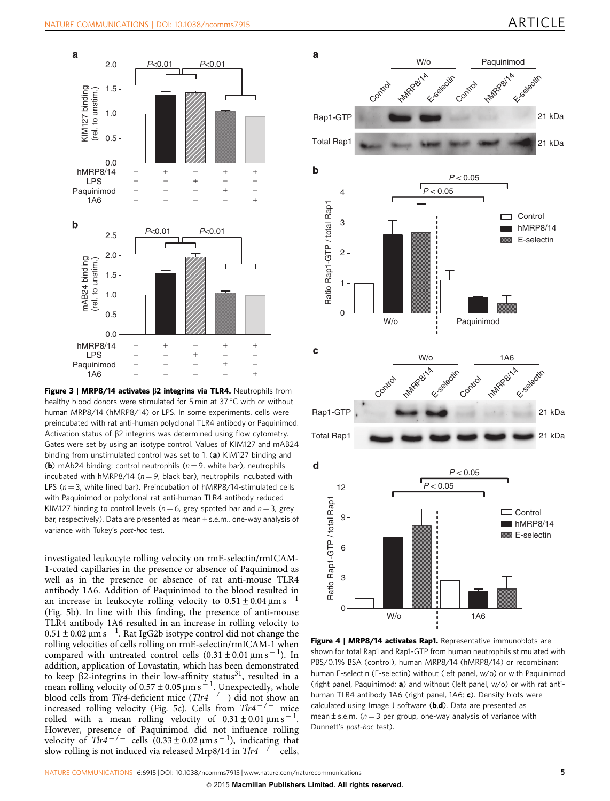<span id="page-4-0"></span>

Figure 3 | MRP8/14 activates  $\beta$ 2 integrins via TLR4. Neutrophils from healthy blood donors were stimulated for 5 min at 37 °C with or without human MRP8/14 (hMRP8/14) or LPS. In some experiments, cells were preincubated with rat anti-human polyclonal TLR4 antibody or Paquinimod. Activation status of  $\beta$ 2 integrins was determined using flow cytometry. Gates were set by using an isotype control. Values of KIM127 and mAB24 binding from unstimulated control was set to 1. (a) KIM127 binding and (b) mAb24 binding: control neutrophils ( $n = 9$ , white bar), neutrophils incubated with hMRP8/14 ( $n = 9$ , black bar), neutrophils incubated with LPS ( $n = 3$ , white lined bar). Preincubation of hMRP8/14-stimulated cells with Paquinimod or polyclonal rat anti-human TLR4 antibody reduced KIM127 binding to control levels ( $n = 6$ , grey spotted bar and  $n = 3$ , grey bar, respectively). Data are presented as mean±s.e.m., one-way analysis of variance with Tukey's post-hoc test.

investigated leukocyte rolling velocity on rmE-selectin/rmICAM-1-coated capillaries in the presence or absence of Paquinimod as well as in the presence or absence of rat anti-mouse TLR4 antibody 1A6. Addition of Paquinimod to the blood resulted in an increase in leukocyte rolling velocity to  $0.51 \pm 0.04$   $\mu$ m s<sup>-1</sup> ([Fig. 5b\)](#page-5-0). In line with this finding, the presence of anti-mouse TLR4 antibody 1A6 resulted in an increase in rolling velocity to  $0.51 \pm 0.02$  µm s  $^{-1}$ . Rat IgG2b isotype control did not change the rolling velocities of cells rolling on rmE-selectin/rmICAM-1 when compared with untreated control cells  $(0.31 \pm 0.01 \,\mu m s^{-1})$ . In addition, application of Lovastatin, which has been demonstrated to keep  $\beta$ 2-integrins in their low-affinity status<sup>[31](#page-10-0)</sup>, resulted in a mean rolling velocity of  $0.57 \pm 0.05$   $\mu$ m s  $^{-1}$ . Unexpectedly, whole blood cells from Tlr4-deficient mice  $(Tlr4^{-/-})$  did not show an increased rolling velocity [\(Fig. 5c](#page-5-0)). Cells from  $Tlr4^{-/-}$  mice rolled with a mean rolling velocity of  $0.31 \pm 0.01$   $\mu$ m s<sup>-1</sup>. However, presence of Paquinimod did not influence rolling velocity of  $Tlr4^{-/-}$  cells  $(0.33 \pm 0.02 \,\mu m s^{-1})$ , indicating that slow rolling is not induced via released Mrp8/14 in  $Tlr4^{-/-}$  cells,



Figure 4 | MRP8/14 activates Rap1. Representative immunoblots are shown for total Rap1 and Rap1-GTP from human neutrophils stimulated with PBS/0.1% BSA (control), human MRP8/14 (hMRP8/14) or recombinant human E-selectin (E-selectin) without (left panel, w/o) or with Paquinimod (right panel, Paquinimod;  $a$ ) and without (left panel,  $w/o$ ) or with rat antihuman TLR4 antibody 1A6 (right panel, 1A6; c). Density blots were calculated using Image J software  $(b.d)$ . Data are presented as mean  $\pm$  s.e.m. ( $n = 3$  per group, one-way analysis of variance with Dunnett's post-hoc test).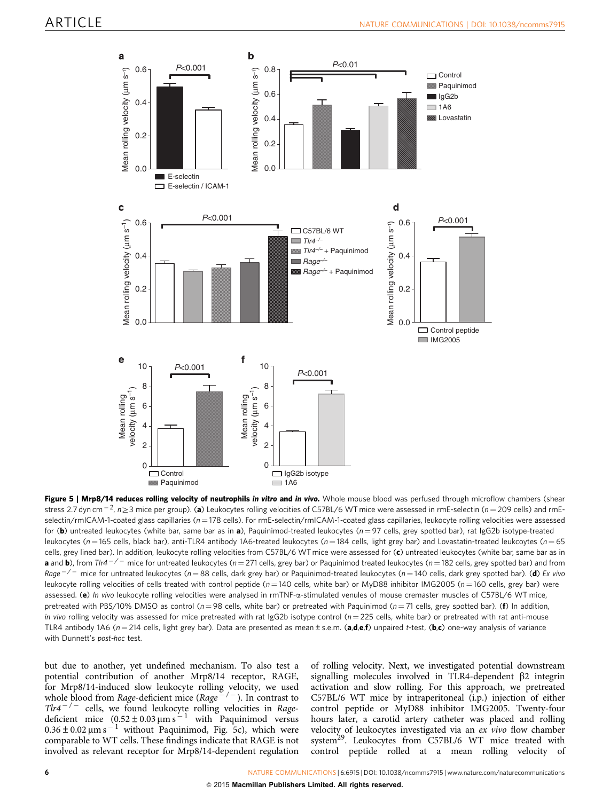<span id="page-5-0"></span>

Figure 5 | Mrp8/14 reduces rolling velocity of neutrophils in vitro and in vivo. Whole mouse blood was perfused through microflow chambers (shear stress 2.7 dyn cm $^{-2}$ , n $\geq$ 3 mice per group). (**a**) Leukocytes rolling velocities of C57BL/6 WT mice were assessed in rmE-selectin (*n* = 209 cells) and rmE $s$ electin/rmICAM-1-coated glass capillaries ( $n = 178$  cells). For rmE-selectin/rmICAM-1-coated glass capillaries, leukocyte rolling velocities were assessed for (b) untreated leukocytes (white bar, same bar as in a), Paquinimod-treated leukocytes ( $n = 97$  cells, grey spotted bar), rat IgG2b isotype-treated leukocytes (n = 165 cells, black bar), anti-TLR4 antibody 1A6-treated leukocytes (n = 184 cells, light grey bar) and Lovastatin-treated leukcoytes (n = 65 cells, grey lined bar). In addition, leukocyte rolling velocities from C57BL/6 WT mice were assessed for (c) untreated leukocytes (white bar, same bar as in **a** and **b**), from Tlr4  $^{-/-}$  mice for untreated leukocytes (n = 271 cells, grey bar) or Paquinimod treated leukocytes (n = 182 cells, grey spotted bar) and from Rage $^{-/-}$  mice for untreated leukocytes (n=88 cells, dark grey bar) or Paquinimod-treated leukocytes (n=140 cells, dark grey spotted bar). (**d**) Ex vivo leukocyte rolling velocities of cells treated with control peptide ( $n = 140$  cells, white bar) or MyD88 inhibitor IMG2005 ( $n = 160$  cells, grey bar) were assessed. (e) In vivo leukocyte rolling velocities were analysed in rmTNF-a-stimulated venules of mouse cremaster muscles of C57BL/6 WT mice, pretreated with PBS/10% DMSO as control ( $n = 98$  cells, white bar) or pretreated with Paquinimod ( $n = 71$  cells, grey spotted bar). (f) In addition, in vivo rolling velocity was assessed for mice pretreated with rat IgG2b isotype control ( $n = 225$  cells, white bar) or pretreated with rat anti-mouse TLR4 antibody 1A6 ( $n = 214$  cells, light grey bar). Data are presented as mean ± s.e.m. (a,d,e,f) unpaired t-test, (b,c) one-way analysis of variance with Dunnett's post-hoc test.

but due to another, yet undefined mechanism. To also test a potential contribution of another Mrp8/14 receptor, RAGE, for Mrp8/14-induced slow leukocyte rolling velocity, we used whole blood from Rage-deficient mice (Rage<sup>-/-</sup>). In contrast to  $T l r 4^{-/-}$  cells, we found leukocyte rolling velocities in Ragedeficient mice  $(0.52 \pm 0.03 \,\mu m s^{-1}$  with Paquinimod versus  $0.36 \pm 0.02$   $\mu$ m s<sup>-1</sup> without Paquinimod, Fig. 5c), which were comparable to WT cells. These findings indicate that RAGE is not involved as relevant receptor for Mrp8/14-dependent regulation

of rolling velocity. Next, we investigated potential downstream signalling molecules involved in TLR4-dependent  $\beta$ 2 integrin activation and slow rolling. For this approach, we pretreated C57BL/6 WT mice by intraperitoneal (i.p.) injection of either control peptide or MyD88 inhibitor IMG2005. Twenty-four hours later, a carotid artery catheter was placed and rolling velocity of leukocytes investigated via an ex vivo flow chamber system<sup>29</sup>. Leukocytes from C57BL/6 WT mice treated with control peptide rolled at a mean rolling velocity of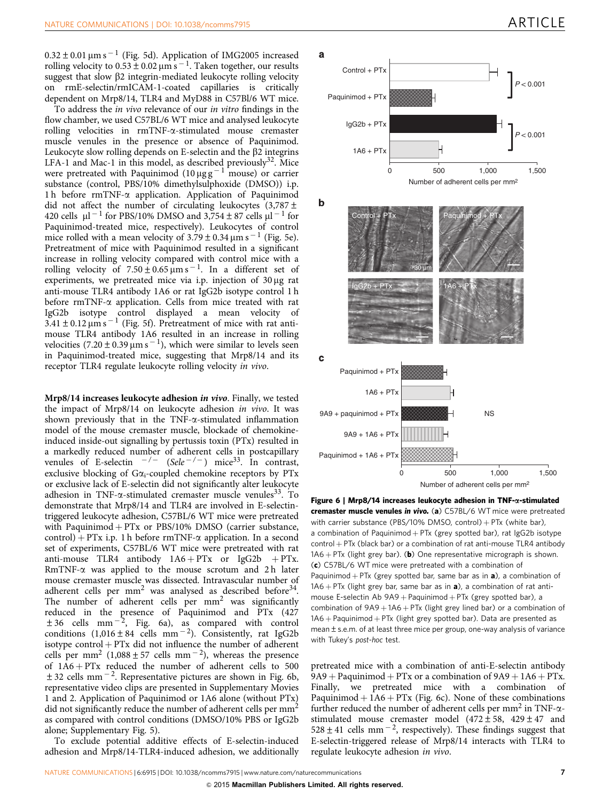$0.32\pm0.01$   $\mu$ m s  $^{-1}$  ([Fig. 5d](#page-5-0)). Application of IMG2005 increased rolling velocity to  $0.53 \pm 0.02 \mu m s^{-1}$ . Taken together, our results suggest that slow  $\beta$ 2 integrin-mediated leukocyte rolling velocity on rmE-selectin/rmICAM-1-coated capillaries is critically dependent on Mrp8/14, TLR4 and MyD88 in C57Bl/6 WT mice.

To address the in vivo relevance of our in vitro findings in the flow chamber, we used C57BL/6 WT mice and analysed leukocyte rolling velocities in rmTNF-a-stimulated mouse cremaster muscle venules in the presence or absence of Paquinimod. Leukocyte slow rolling depends on E-selectin and the  $\beta$ 2 integrins LFA-1 and Mac-1 in this model, as described previously<sup>32</sup>. Mice were pretreated with Paquinimod  $(10 \mu g g^{-1}$  mouse) or carrier substance (control, PBS/10% dimethylsulphoxide (DMSO)) i.p. 1 h before rmTNF-a application. Application of Paquinimod did not affect the number of circulating leukocytes  $(3,787 \pm$ 420 cells  $\mu$ l<sup>-1</sup> for PBS/10% DMSO and 3,754 ± 87 cells  $\mu$ l<sup>-1</sup> for Paquinimod-treated mice, respectively). Leukocytes of control mice rolled with a mean velocity of  $3.79 \pm 0.34 \,\mathrm{\upmu m\,s^{-1}}$  [\(Fig. 5e](#page-5-0)). Pretreatment of mice with Paquinimod resulted in a significant increase in rolling velocity compared with control mice with a rolling velocity of  $7.50 \pm 0.65 \,\mathrm{\mu m\,s}^{-1}$ . In a different set of experiments, we pretreated mice via i.p. injection of  $30 \mu$ g rat anti-mouse TLR4 antibody 1A6 or rat IgG2b isotype control 1 h before rmTNF-a application. Cells from mice treated with rat IgG2b isotype control displayed a mean velocity of  $3.41 \pm 0.12 \,\mu m s^{-1}$  [\(Fig. 5f\)](#page-5-0). Pretreatment of mice with rat antimouse TLR4 antibody 1A6 resulted in an increase in rolling velocities  $(7.20 \pm 0.39 \,\mu m s^{-1})$ , which were similar to levels seen in Paquinimod-treated mice, suggesting that Mrp8/14 and its receptor TLR4 regulate leukocyte rolling velocity in vivo.

Mrp8/14 increases leukocyte adhesion in vivo. Finally, we tested the impact of Mrp8/14 on leukocyte adhesion in vivo. It was shown previously that in the TNF- $\alpha$ -stimulated inflammation model of the mouse cremaster muscle, blockade of chemokineinduced inside-out signalling by pertussis toxin (PTx) resulted in a markedly reduced number of adherent cells in postcapillary venules of E-selectin  $-/-$  (Sele $-/-$ ) mice<sup>33</sup>. In contrast, exclusive blocking of  $Ga_i$ -coupled chemokine receptors by PTx or exclusive lack of E-selectin did not significantly alter leukocyte adhesion in TNF- $\alpha$ -stimulated cremaster muscle venules<sup>33</sup>. To demonstrate that Mrp8/14 and TLR4 are involved in E-selectintriggered leukocyte adhesion, C57BL/6 WT mice were pretreated with Paquinimod  $+$  PTx or PBS/10% DMSO (carrier substance, control) + PTx i.p. 1 h before rmTNF- $\alpha$  application. In a second set of experiments, C57BL/6 WT mice were pretreated with rat anti-mouse TLR4 antibody  $1A6 + PTx$  or IgG2b + PTx.  $RmTNF-\alpha$  was applied to the mouse scrotum and 2h later mouse cremaster muscle was dissected. Intravascular number of adherent cells per  $mm<sup>2</sup>$  was analysed as described before<sup>34</sup>. The number of adherent cells per  $mm<sup>2</sup>$  was significantly reduced in the presence of Paquinimod and PTx (427  $\pm 36$  cells mm<sup>-2</sup>, Fig. 6a), as compared with control conditions  $(1,016 \pm 84 \text{ cells mm}^{-2})$ . Consistently, rat IgG2b isotype  $control + PTx$  did not influence the number of adherent cells per mm<sup>2</sup> (1,088 ± 57 cells mm<sup>-2</sup>), whereas the presence of  $1A6 + PTx$  reduced the number of adherent cells to 500  $\pm$  32 cells mm<sup>-2</sup>. Representative pictures are shown in Fig. 6b, representative video clips are presented in Supplementary Movies 1 and 2. Application of Paquinimod or 1A6 alone (without PTx) did not significantly reduce the number of adherent cells per mm<sup>2</sup> as compared with control conditions (DMSO/10% PBS or IgG2b alone; Supplementary Fig. 5).

To exclude potential additive effects of E-selectin-induced adhesion and Mrp8/14-TLR4-induced adhesion, we additionally



Figure 6 | Mrp8/14 increases leukocyte adhesion in  $TNF$ - $\alpha$ -stimulated cremaster muscle venules in vivo. (a) C57BL/6 WT mice were pretreated with carrier substance (PBS/10% DMSO, control) +  $PTx$  (white bar), a combination of Paquinimod  $+$  PTx (grey spotted bar), rat IgG2b isotype  $control + PTx$  (black bar) or a combination of rat anti-mouse TLR4 antibody  $1A6 + PTx$  (light grey bar). (b) One representative micrograph is shown. (c) C57BL/6 WT mice were pretreated with a combination of Paquinimod + PTx (grey spotted bar, same bar as in  $a$ ), a combination of  $1A6 + PTx$  (light grey bar, same bar as in **a**), a combination of rat antimouse E-selectin Ab  $9A9 +$  Paquinimod + PTx (grey spotted bar), a combination of  $9A9 + 1A6 + PTx$  (light grey lined bar) or a combination of  $1A6 +$  Paquinimod  $+$  PTx (light grey spotted bar). Data are presented as mean  $\pm$  s.e.m. of at least three mice per group, one-way analysis of variance with Tukey's post-hoc test.

pretreated mice with a combination of anti-E-selectin antibody  $9A9 + Paquinimod + PTx$  or a combination of  $9A9 + 1A6 + PTx$ . Finally, we pretreated mice with a combination of Paquinimod  $+ 1A6 + PTx$  (Fig. 6c). None of these combinations further reduced the number of adherent cells per  $mm<sup>2</sup>$  in TNF- $\alpha$ stimulated mouse cremaster model  $(472 \pm 58, 429 \pm 47, 420)$  $528 \pm 41$  cells mm<sup>-2</sup>, respectively). These findings suggest that E-selectin-triggered release of Mrp8/14 interacts with TLR4 to regulate leukocyte adhesion in vivo.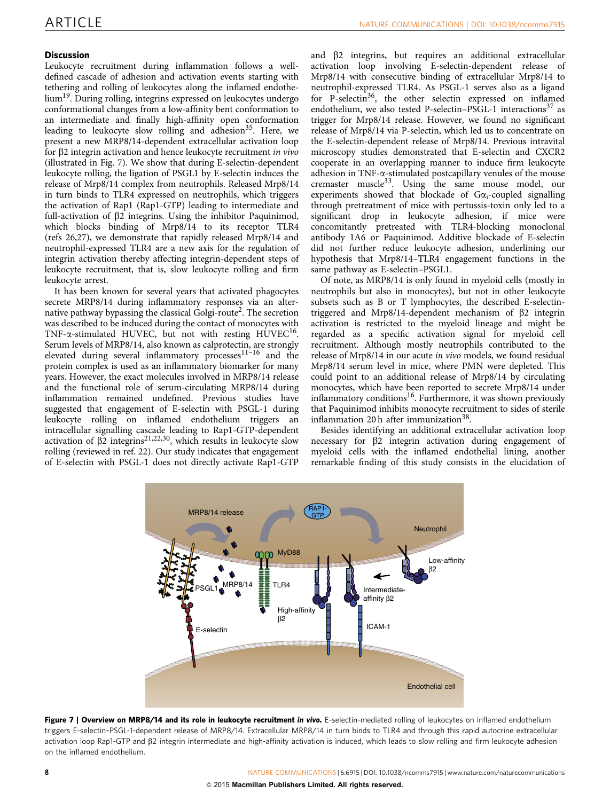### <span id="page-7-0"></span>**Discussion**

Leukocyte recruitment during inflammation follows a welldefined cascade of adhesion and activation events starting with tethering and rolling of leukocytes along the inflamed endothelium<sup>19</sup>. During rolling, integrins expressed on leukocytes undergo conformational changes from a low-affinity bent conformation to an intermediate and finally high-affinity open conformation leading to leukocyte slow rolling and adhesion<sup>35</sup>. Here, we present a new MRP8/14-dependent extracellular activation loop for b2 integrin activation and hence leukocyte recruitment in vivo (illustrated in Fig. 7). We show that during E-selectin-dependent leukocyte rolling, the ligation of PSGL1 by E-selectin induces the release of Mrp8/14 complex from neutrophils. Released Mrp8/14 in turn binds to TLR4 expressed on neutrophils, which triggers the activation of Rap1 (Rap1-GTP) leading to intermediate and full-activation of b2 integrins. Using the inhibitor Paquinimod, which blocks binding of Mrp8/14 to its receptor TLR4 ([refs 26,27](#page-10-0)), we demonstrate that rapidly released Mrp8/14 and neutrophil-expressed TLR4 are a new axis for the regulation of integrin activation thereby affecting integrin-dependent steps of leukocyte recruitment, that is, slow leukocyte rolling and firm leukocyte arrest.

It has been known for several years that activated phagocytes secrete MRP8/14 during inflammatory responses via an alter-native pathway bypassing the classical Golgi-route<sup>[2](#page-9-0)</sup>. The secretion was described to be induced during the contact of monocytes with TNF- $\alpha$ -stimulated HUVEC, but not with resting HUVEC<sup>16</sup>. Serum levels of MRP8/14, also known as calprotectin, are strongly elevated during several inflammatory processes<sup>11-16</sup> and the protein complex is used as an inflammatory biomarker for many years. However, the exact molecules involved in MRP8/14 release and the functional role of serum-circulating MRP8/14 during inflammation remained undefined. Previous studies have suggested that engagement of E-selectin with PSGL-1 during leukocyte rolling on inflamed endothelium triggers an intracellular signalling cascade leading to Rap1-GTP-dependent activation of  $\beta$ 2 integrins<sup>21,22,30</sup>, which results in leukocyte slow rolling (reviewed in [ref. 22](#page-9-0)). Our study indicates that engagement of E-selectin with PSGL-1 does not directly activate Rap1-GTP

and b2 integrins, but requires an additional extracellular activation loop involving E-selectin-dependent release of Mrp8/14 with consecutive binding of extracellular Mrp8/14 to neutrophil-expressed TLR4. As PSGL-1 serves also as a ligand for P-selectin<sup>36</sup>, the other selectin expressed on inflamed endothelium, we also tested P-selectin–PSGL-1 interactions<sup>37</sup> as trigger for Mrp8/14 release. However, we found no significant release of Mrp8/14 via P-selectin, which led us to concentrate on the E-selectin-dependent release of Mrp8/14. Previous intravital microscopy studies demonstrated that E-selectin and CXCR2 cooperate in an overlapping manner to induce firm leukocyte adhesion in TNF- $\alpha$ -stimulated postcapillary venules of the mouse cremaster muscle[33](#page-10-0). Using the same mouse model, our experiments showed that blockade of  $G\alpha_i$ -coupled signalling through pretreatment of mice with pertussis-toxin only led to a significant drop in leukocyte adhesion, if mice were concomitantly pretreated with TLR4-blocking monoclonal antibody 1A6 or Paquinimod. Additive blockade of E-selectin did not further reduce leukocyte adhesion, underlining our hypothesis that Mrp8/14–TLR4 engagement functions in the same pathway as E-selectin–PSGL1.

Of note, as MRP8/14 is only found in myeloid cells (mostly in neutrophils but also in monocytes), but not in other leukocyte subsets such as B or T lymphocytes, the described E-selectintriggered and Mrp8/14-dependent mechanism of b2 integrin activation is restricted to the myeloid lineage and might be regarded as a specific activation signal for myeloid cell recruitment. Although mostly neutrophils contributed to the release of Mrp8/14 in our acute in vivo models, we found residual Mrp8/14 serum level in mice, where PMN were depleted. This could point to an additional release of Mrp8/14 by circulating monocytes, which have been reported to secrete Mrp8/14 under inflammatory conditions<sup>16</sup>. Furthermore, it was shown previously that Paquinimod inhibits monocyte recruitment to sides of sterile inflammation 20 h after immunization $38$ .

Besides identifying an additional extracellular activation loop necessary for  $\beta$ 2 integrin activation during engagement of myeloid cells with the inflamed endothelial lining, another remarkable finding of this study consists in the elucidation of



Figure 7 | Overview on MRP8/14 and its role in leukocyte recruitment in vivo. E-selectin-mediated rolling of leukocytes on inflamed endothelium triggers E-selectin–PSGL-1-dependent release of MRP8/14. Extracellular MRP8/14 in turn binds to TLR4 and through this rapid autocrine extracellular activation loop Rap1-GTP and b2 integrin intermediate and high-affinity activation is induced, which leads to slow rolling and firm leukocyte adhesion on the inflamed endothelium.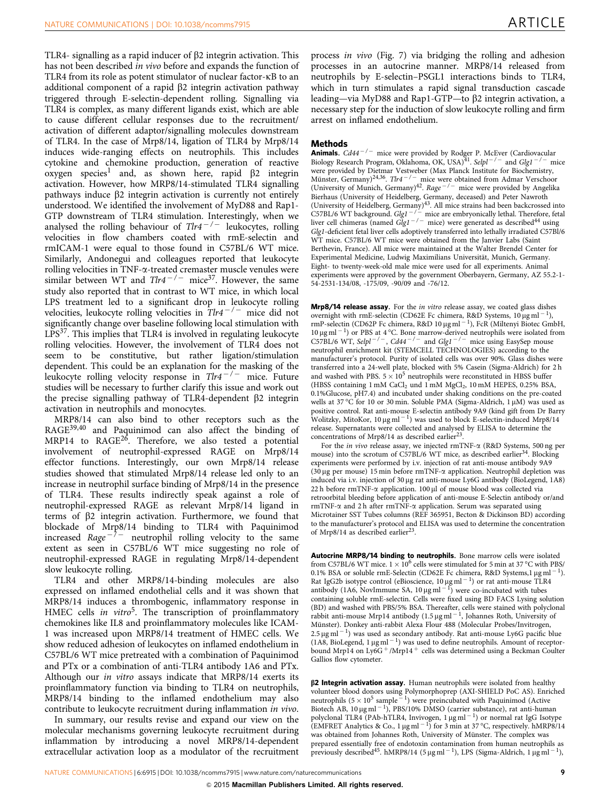TLR4- signalling as a rapid inducer of  $\beta$ 2 integrin activation. This has not been described in vivo before and expands the function of TLR4 from its role as potent stimulator of nuclear factor-kB to an additional component of a rapid  $\beta$ 2 integrin activation pathway triggered through E-selectin-dependent rolling. Signalling via TLR4 is complex, as many different ligands exist, which are able to cause different cellular responses due to the recruitment/ activation of different adaptor/signalling molecules downstream of TLR4. In the case of Mrp8/14, ligation of TLR4 by Mrp8/14 induces wide-ranging effects on neutrophils. This includes cytokine and chemokine production, generation of reactive  $oxygen species<sup>1</sup>$  $oxygen species<sup>1</sup>$  $oxygen species<sup>1</sup>$  and, as shown here, rapid  $\beta$ 2 integrin activation. However, how MRP8/14-stimulated TLR4 signalling pathways induce  $\beta$ 2 integrin activation is currently not entirely understood. We identified the involvement of MyD88 and Rap1- GTP downstream of TLR4 stimulation. Interestingly, when we analysed the rolling behaviour of  $Tlr4^{-/-}$  leukocytes, rolling velocities in flow chambers coated with rmE-selectin and rmICAM-1 were equal to those found in C57BL/6 WT mice. Similarly, Andonegui and colleagues reported that leukocyte rolling velocities in TNF-a-treated cremaster muscle venules were similar between WT and  $Tlr4^{-/-}$  mice<sup>[37](#page-10-0)</sup>. However, the same study also reported that in contrast to WT mice, in which local LPS treatment led to a significant drop in leukocyte rolling velocities, leukocyte rolling velocities in  $T l r 4^{-/-}$  mice did not significantly change over baseline following local stimulation with  $LPS<sup>37</sup>$ . This implies that TLR4 is involved in regulating leukocyte rolling velocities. However, the involvement of TLR4 does not seem to be constitutive, but rather ligation/stimulation dependent. This could be an explanation for the masking of the leukocyte rolling velocity response in  $T l r 4^{-/-}$  mice. Future studies will be necessary to further clarify this issue and work out the precise signalling pathway of TLR4-dependent  $\beta$ 2 integrin activation in neutrophils and monocytes.

MRP8/14 can also bind to other receptors such as the RAGE[39,40](#page-10-0) and Paquinimod can also affect the binding of MRP14 to RAGE<sup>[26](#page-10-0)</sup>. Therefore, we also tested a potential involvement of neutrophil-expressed RAGE on Mrp8/14 effector functions. Interestingly, our own Mrp8/14 release studies showed that stimulated Mrp8/14 release led only to an increase in neutrophil surface binding of Mrp8/14 in the presence of TLR4. These results indirectly speak against a role of neutrophil-expressed RAGE as relevant Mrp8/14 ligand in terms of  $\beta$ 2 integrin activation. Furthermore, we found that blockade of Mrp8/14 binding to TLR4 with Paquinimod increased Rage<sup>-7-</sup> neutrophil rolling velocity to the same extent as seen in C57BL/6 WT mice suggesting no role of neutrophil-expressed RAGE in regulating Mrp8/14-dependent slow leukocyte rolling.

TLR4 and other MRP8/14-binding molecules are also expressed on inflamed endothelial cells and it was shown that MRP8/14 induces a thrombogenic, inflammatory response in HMEC cells in vitro<sup>5</sup>. The transcription of proinflammatory chemokines like IL8 and proinflammatory molecules like ICAM-1 was increased upon MRP8/14 treatment of HMEC cells. We show reduced adhesion of leukocytes on inflamed endothelium in C57BL/6 WT mice pretreated with a combination of Paquinimod and PTx or a combination of anti-TLR4 antibody 1A6 and PTx. Although our in vitro assays indicate that MRP8/14 exerts its proinflammatory function via binding to TLR4 on neutrophils, MRP8/14 binding to the inflamed endothelium may also contribute to leukocyte recruitment during inflammation in vivo.

In summary, our results revise and expand our view on the molecular mechanisms governing leukocyte recruitment during inflammation by introducing a novel MRP8/14-dependent extracellular activation loop as a modulator of the recruitment process in vivo [\(Fig. 7\)](#page-7-0) via bridging the rolling and adhesion processes in an autocrine manner. MRP8/14 released from neutrophils by E-selectin–PSGL1 interactions binds to TLR4, which in turn stimulates a rapid signal transduction cascade leading—via MyD88 and Rap1-GTP—to b2 integrin activation, a necessary step for the induction of slow leukocyte rolling and firm arrest on inflamed endothelium.

### Methods

**Animals.**  $Cd44^{-/-}$  mice were provided by Rodger P. McEver (Cardiovacular Biology Research Program, Oklahoma, OK, USA)<sup>41</sup>. Selpl<sup>-/-</sup> and Glg1<sup>-/-</sup> mice were provided by Dietmar Vestweber (Max Planck Institute for Biochemistry, Münster, Germany)<sup>[24,36](#page-10-0)</sup>. Tlr4<sup>-/-</sup> mice were obtained from Admar Verschoor (University of Munich, Germany)<sup>[42](#page-10-0)</sup>. Rage<sup>-/-</sup> mice were provided by Angelika Bierhaus (University of Heidelberg, Germany, deceased) and Peter Nawroth (University of Heidelberg, Germany[\)43.](#page-10-0) All mice strains had been backcrossed into C57BL/6 WT background. Glg1<sup>-/-</sup> mice are embryonically lethal. Therefore, fetal liver cell chimeras (named Glg1<sup>-/-</sup> mice) were generated as described<sup>[44](#page-10-0)</sup> using Glg1-deficient fetal liver cells adoptively transferred into lethally irradiated C57Bl/6 WT mice. C57BL/6 WT mice were obtained from the Janvier Labs (Saint Berthevin, France). All mice were maintained at the Walter Brendel Center for Experimental Medicine, Ludwig Maximilians Universität, Munich, Germany. Eight- to twenty-week-old male mice were used for all experiments. Animal experiments were approved by the government Oberbayern, Germany, AZ 55.2-1- 54-2531-134/08, -175/09, -90/09 and -76/12.

Mrp8/14 release assay. For the in vitro release assay, we coated glass dishes overnight with rmE-selectin (CD62E Fc chimera, R&D Systems,  $10 \mu g \text{ ml}^{-1}$ ), rmP-selectin (CD62P Fc chimera, R&D 10 µg ml<sup>-1</sup>), FcR (Miltenyi Biotec GmbH, 10 µg ml<sup>-1</sup>) or PBS at 4 °C. Bone marrow-derived neutrophils were isolated from C57BL/6 WT, Selpl<sup>-/-</sup>, Cd44<sup>-/-</sup> and Glg1<sup>-/-</sup> mice using EasySep mouse neutrophil enrichment kit (STEMCELL TECHNOLOGIES) according to the manufacturer's protocol. Purity of isolated cells was over 90%. Glass dishes were transferred into a 24-well plate, blocked with 5% Casein (Sigma-Aldrich) for 2 h and washed with PBS.  $5 \times 10^5$  neutrophils were reconstituted in HBSS buffer (HBSS containing 1 mM CaCl<sub>2</sub> und 1 mM MgCl<sub>2</sub>, 10 mM HEPES, 0.25% BSA, 0.1%Glucose, pH7.4) and incubated under shaking conditions on the pre-coated wells at 37 °C for 10 or 30 min. Soluble PMA (Sigma-Aldrich,  $1 \mu$ M) was used as positive control. Rat anti-mouse E-selectin antibody 9A9 (kind gift from Dr Barry Wolitzky, MitoKor, 10  $\mu$ g ml<sup>-1</sup>) was used to block E-selectin-induced Mrp8/14 release. Supernatants were collected and analysed by ELISA to determine the concentrations of Mrp8/14 as described earlier<sup>[23](#page-10-0)</sup>

For the in vivo release assay, we injected rmTNF- $\alpha$  (R&D Systems, 500 ng per mouse) into the scrotum of C57BL/6 WT mice, as described earlier<sup>[34](#page-10-0)</sup>. Blocking experiments were performed by i.v. injection of rat anti-mouse antibody 9A9 (30 µg per mouse) 15 min before rmTNF- $\alpha$  application. Neutrophil depletion was induced via i.v. injection of 30 µg rat anti-mouse Ly6G antibody (BioLegend, 1A8) 22 h before  $rmTNF-\alpha$  application. 100 µl of mouse blood was collected via retroorbital bleeding before application of anti-mouse E-Selectin antibody or/and  $rmTNF-\alpha$  and 2 h after  $rmTNF-\alpha$  application. Serum was separated using Microtainer SST Tubes columns (REF 365951, Becton & Dickinson BD) according to the manufacturer's protocol and ELISA was used to determine the concentration of Mrp8/14 as described earlier<sup>23</sup>.

Autocrine MRP8/14 binding to neutrophils. Bone marrow cells were isolated from C57BL/6 WT mice.  $1 \times 10^6$  cells were stimulated for 5 min at 37 °C with PBS/ 0.1% BSA or soluble rmE-Selectin (CD62E Fc chimera, R&D Systems, 1  $\mu$ g ml<sup>-1</sup>). Rat IgG2b isotype control (eBioscience,  $10 \mu g$  ml<sup>-1</sup>) or rat anti-mouse TLR4 antibody (1A6, NovImmune SA, 10  $\mu$ g ml<sup>-1</sup>) were co-incubated with tubes containing soluble rmE-selectin. Cells were fixed using BD FACS Lysing solution (BD) and washed with PBS/5% BSA. Thereafter, cells were stained with polyclonal rabbit anti-mouse Mrp14 antibody  $(1.5 \,\mu g\,\text{ml}^{-1}$ , Johannes Roth, University of Münster). Donkey anti-rabbit Alexa Flour 488 (Molecular Probes/Invitrogen,  $2.5 \,\mathrm{\upmu}\mathrm{g}\,\mathrm{m}$ <sup>-1</sup>) was used as secondary antibody. Rat anti-mouse Ly6G pacific blue (1A8, BioLegend,  $1 \mu g$  ml<sup> $-1$ </sup>) was used to define neutrophils. Amount of receptorbound Mrp14 on Ly6G +/Mrp14 + cells was determined using a Beckman Coulter Gallios flow cytometer.

 $\beta$ 2 Integrin activation assay. Human neutrophils were isolated from healthy volunteer blood donors using Polymorphoprep (AXI-SHIELD PoC AS). Enriched neutrophils (5  $\times$  10<sup>5</sup> sample<sup>-1</sup>) were preincubated with Paquinimod (Active Biotech AB,  $10 \mu g$  ml<sup> $-1$ </sup>), PBS/10% DMSO (carrier substance), rat anti-human polyclonal TLR4 (PAb-hTLR4, Invivogen,  $1 \mu g$  ml<sup>-1</sup>) or normal rat IgG Isotype (EMFRET Analytics & Co., 1  $\mu$ g ml<sup>-1</sup>) for 3 min at 37 °C, respectively. hMRP8/14 was obtained from Johannes Roth, University of Münster. The complex was prepared essentially free of endotoxin contamination from human neutrophils as previously described<sup>45</sup>. hMRP8/14 (5 µg ml<sup>-1</sup>), LPS (Sigma-Aldrich, 1 µg ml<sup>-1</sup>),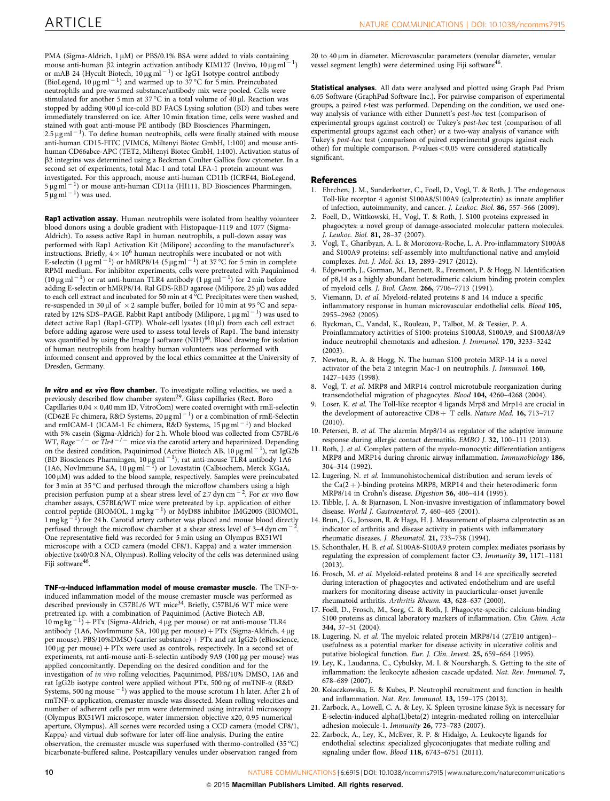<span id="page-9-0"></span>PMA (Sigma-Aldrich,  $1 \mu$ M) or PBS/0.1% BSA were added to vials containing mouse anti-human  $\beta$ 2 integrin activation antibody KIM127 (Invivo, 10 µg ml<sup>-</sup> 1) or mAB 24 (Hycult Biotech, 10  $\mu$ g ml $^{-1}$ ) or IgG1 Isotype control antibody (BioLegend,  $10 \mu g$  ml<sup>-1</sup>) and warmed up to 37 °C for 5 min. Preincubated neutrophils and pre-warmed substance/antibody mix were pooled. Cells were stimulated for another 5 min at 37  $^{\circ}$ C in a total volume of 40 µl. Reaction was stopped by adding 900 µl ice-cold BD FACS Lysing solution (BD) and tubes were immediately transferred on ice. After 10 min fixation time, cells were washed and stained with goat anti-mouse PE antibody (BD Biosciences Pharmingen, 2.5  $\mu$ g ml  $^{-1}$ ). To define human neutrophils, cells were finally stained with mouse anti-human CD15-FITC (VIMC6, Miltenyi Biotec GmbH, 1:100) and mouse antihuman CD66abce-APC (TET2, Miltenyi Biotec GmbH, 1:100). Activation status of b2 integrins was determined using a Beckman Coulter Gallios flow cytometer. In a second set of experiments, total Mac-1 and total LFA-1 protein amount was investigated. For this approach, mouse anti-human CD11b (ICRF44, BioLegend,<br>5 µg ml <sup>– 1</sup>) or mouse anti-human CD11a (HI111, BD Biosciences Pharmingen,  $5 \,\mathrm{\mu g\,ml^{-1}}$ ) was used.

Rap1 activation assay. Human neutrophils were isolated from healthy volunteer blood donors using a double gradient with Histopaque-1119 and 1077 (Sigma-Aldrich). To assess active Rap1 in human neutrophils, a pull-down assay was performed with Rap1 Activation Kit (Milipore) according to the manufacturer's instructions. Briefly,  $4 \times 10^6$  human neutrophils were incubated or not with E-selectin (1  $\mu$ g ml $^{-1}$ ) or hMRP8/14 (5  $\mu$ g ml $^{-1}$ ) at 37 °C for 5 min in complete RPMI medium. For inhibitor experiments, cells were pretreated with Paquinimod (10  $\mu$ g ml<sup>-1</sup>) or rat anti-human TLR4 antibody (1  $\mu$ g ml<sup>-1</sup>) for 2 min before adding E-selectin or hMRP8/14. Ral GDS-RBD agarose (Milipore, 25 µl) was added to each cell extract and incubated for 50 min at 4 °C. Precipitates were then washed, re-suspended in 30  $\mu$ l of  $~\times$  2 sample buffer, boiled for 10 min at 95 °C and separated by 12% SDS–PAGE. Rabbit R̄ap1 antibody (Milipore, 1  $\mu$ g ml $^{-1}$ ) was used≀to detect active Rap1 (Rap1-GTP). Whole-cell lysates (10 µl) from each cell extract before adding agarose were used to assess total levels of Rap1. The band intensity was quantified by using the Image J software (NIH)<sup>[46](#page-10-0)</sup>. Blood drawing for isolation of human neutrophils from healthy human volunteers was performed with informed consent and approved by the local ethics committee at the University of Dresden, Germany.

In vitro and ex vivo flow chamber. To investigate rolling velocities, we used a<br>previously described flow chamber system<sup>[29](#page-10-0)</sup>. Glass capillaries (Rect. Boro Capillaries  $0.04 \times 0.40$  mm ID, VitroCom) were coated overnight with rmE-selectin (CD62E Fc chimera, R&D Systems, 20  $\mu$ g ml<sup>-1</sup>) or a combination of rmE-Selectin and rmICAM-1 (ICAM-1 Fc chimera, R&D Systems, 15  $\mu$ g ml<sup>-1</sup>) and blocked with 5% casein (Sigma-Aldrich) for 2 h. Whole blood was collected from C57BL/6<br>WT, *Rage <sup>- / -</sup> or Tlr4 <sup>- / -</sup> mice via the carotid artery and heparinized. Depending* on the desired condition, Paquinimod (Active Biotech AB,  $10 \,\mathrm{\mu g\,ml}^{-1}$ ), rat IgG2b (BD Biosciences Pharmingen,  $10 \mu g$  ml<sup>-1</sup>), rat anti-mouse TLR4 antibody 1A6 (1A6, NovImmune SA,  $10 \mu g$  ml<sup>-1</sup>) or Lovastatin (Calbiochem, Merck KGaA,  $100 \,\mu$ M) was added to the blood sample, respectively. Samples were preincubated for 3 min at 35 °C and perfused through the microflow chambers using a high precision perfusion pump at a shear stress level of 2.7 dyn cm<sup>-2</sup>. For ex vivo flow chamber assays, C57BL6/WT mice were pretreated by i.p. application of either<br>control peptide (BIOMOL, 1 mg kg <sup>– 1</sup>) or MyD88 inhibitor IMG2005 (BIOMOL,  $1 \text{ mg kg}^{-1}$ ) for 24 h. Carotid artery catheter was placed and mouse blood directly perfused through the microflow chamber at a shear stress level of 3-4 dyn cm<sup>-2</sup>. One representative field was recorded for 5 min using an Olympus BX51WI microscope with a CCD camera (model CF8/1, Kappa) and a water immersion objective (x40/0.8 NA, Olympus). Rolling velocity of the cells was determined using Fiji software<sup>46</sup>

TNF- $\alpha$ -induced inflammation model of mouse cremaster muscle. The TNF- $\alpha$ induced inflammation model of the mouse cremaster muscle was performed as described previously in C57BL/6 WT mice<sup>[34](#page-10-0)</sup>. Briefly, C57BL/6 WT mice were pretreated i.p. with a combination of Paquinimod (Active Biotech AB,  $10 \text{ mg kg}^{-1}$ ) + PTx (Sigma-Aldrich, 4 µg per mouse) or rat anti-mouse TLR4 antibody (1A6, NovImmune SA, 100 µg per mouse) + PTx (Sigma-Aldrich,  $4 \mu$ g per mouse). PBS/10%DMSO (carrier substance) + PTx and rat IgG2b (eBioscience,  $100 \,\mu$ g per mouse) + PTx were used as controls, respectively. In a second set of experiments, rat anti-mouse anti-E-selectin antibody 9A9 (100 µg per mouse) was applied concomitantly. Depending on the desired condition and for the investigation of in vivo rolling velocities, Paquinimod, PBS/10% DMSO, 1A6 and rat IgG2b isotype control were applied without PTx. 500 ng of rmTNF-a (R&D Systems, 500 ng mouse  $^{-1}$ ) was applied to the mouse scrotum 1 h later. After 2 h of rmTNF-a application, cremaster muscle was dissected. Mean rolling velocities and number of adherent cells per mm were determined using intravital microscopy (Olympus BX51WI microscope, water immersion objective x20, 0.95 numerical aperture, Olympus). All scenes were recorded using a CCD camera (model CF8/1, Kappa) and virtual dub software for later off-line analysis. During the entire observation, the cremaster muscle was superfused with thermo-controlled (35 °C) bicarbonate-buffered saline. Postcapillary venules under observation ranged from

20 to 40 mm in diameter. Microvascular parameters (venular diameter, venular vessel segment length) were determined using Fiji software<sup>46</sup>.

Statistical analyses. All data were analysed and plotted using Graph Pad Prism 6.05 Software (GraphPad Software Inc.). For pairwise comparison of experimental groups, a paired t-test was performed. Depending on the condition, we used oneway analysis of variance with either Dunnett's post-hoc test (comparison of experimental groups against control) or Tukey's post-hoc test (comparison of all experimental groups against each other) or a two-way analysis of variance with Tukey's post-hoc test (comparison of paired experimental groups against each other) for multiple comparison.  $P$ -values $< 0.05$  were considered statistically significant.

### References

- 1. Ehrchen, J. M., Sunderkotter, C., Foell, D., Vogl, T. & Roth, J. The endogenous Toll-like receptor 4 agonist S100A8/S100A9 (calprotectin) as innate amplifier of infection, autoimmunity, and cancer. J. Leukoc. Biol. 86, 557–566 (2009).
- 2. Foell, D., Wittkowski, H., Vogl, T. & Roth, J. S100 proteins expressed in phagocytes: a novel group of damage-associated molecular pattern molecules. J. Leukoc. Biol. 81, 28–37 (2007).
- 3. Vogl, T., Gharibyan, A. L. & Morozova-Roche, L. A. Pro-inflammatory S100A8 and S100A9 proteins: self-assembly into multifunctional native and amyloid complexes. Int. J. Mol. Sci. 13, 2893–2917 (2012).
- 4. Edgeworth, J., Gorman, M., Bennett, R., Freemont, P. & Hogg, N. Identification of p8,14 as a highly abundant heterodimeric calcium binding protein complex of myeloid cells. J. Biol. Chem. 266, 7706–7713 (1991).
- Viemann, D. et al. Myeloid-related proteins 8 and 14 induce a specific inflammatory response in human microvascular endothelial cells. Blood 105, 2955–2962 (2005).
- 6. Ryckman, C., Vandal, K., Rouleau, P., Talbot, M. & Tessier, P. A. Proinflammatory activities of S100: proteins S100A8, S100A9, and S100A8/A9 induce neutrophil chemotaxis and adhesion. J. Immunol. 170, 3233–3242 (2003).
- 7. Newton, R. A. & Hogg, N. The human S100 protein MRP-14 is a novel activator of the beta 2 integrin Mac-1 on neutrophils. J. Immunol. 160, 1427–1435 (1998).
- 8. Vogl, T. et al. MRP8 and MRP14 control microtubule reorganization during transendothelial migration of phagocytes. Blood 104, 4260–4268 (2004).
- 9. Loser, K. et al. The Toll-like receptor 4 ligands Mrp8 and Mrp14 are crucial in the development of autoreactive  $CD8 + T$  cells. Nature Med. 16, 713-717 (2010).
- 10. Petersen, B. et al. The alarmin Mrp8/14 as regulator of the adaptive immune response during allergic contact dermatitis. EMBO J. 32, 100–111 (2013).
- 11. Roth, J. et al. Complex pattern of the myelo-monocytic differentiation antigens MRP8 and MRP14 during chronic airway inflammation. Immunobiology 186, 304–314 (1992).
- 12. Lugering, N. et al. Immunohistochemical distribution and serum levels of the  $Ca(2+)$ -binding proteins MRP8, MRP14 and their heterodimeric form MRP8/14 in Crohn's disease. Digestion 56, 406–414 (1995).
- 13. Tibble, J. A. & Bjarnason, I. Non-invasive investigation of inflammatory bowel disease. World J. Gastroenterol. 7, 460–465 (2001).
- 14. Brun, J. G., Jonsson, R. & Haga, H. J. Measurement of plasma calprotectin as an indicator of arthritis and disease activity in patients with inflammatory rheumatic diseases. J. Rheumatol. 21, 733–738 (1994).
- 15. Schonthaler, H. B. et al. S100A8-S100A9 protein complex mediates psoriasis by regulating the expression of complement factor C3. Immunity 39, 1171–1181 (2013).
- 16. Frosch, M. et al. Myeloid-related proteins 8 and 14 are specifically secreted during interaction of phagocytes and activated endothelium and are useful markers for monitoring disease activity in pauciarticular-onset juvenile rheumatoid arthritis. Arthritis Rheum. 43, 628–637 (2000).
- 17. Foell, D., Frosch, M., Sorg, C. & Roth, J. Phagocyte-specific calcium-binding S100 proteins as clinical laboratory markers of inflammation. Clin. Chim. Acta 344, 37–51 (2004).
- 18. Lugering, N. et al. The myeloic related protein MRP8/14 (27E10 antigen)- usefulness as a potential marker for disease activity in ulcerative colitis and putative biological function. Eur. J. Clin. Invest. 25, 659–664 (1995).
- 19. Ley, K., Laudanna, C., Cybulsky, M. I. & Nourshargh, S. Getting to the site of inflammation: the leukocyte adhesion cascade updated. Nat. Rev. Immunol. 7, 678–689 (2007).
- 20. Kolaczkowska, E. & Kubes, P. Neutrophil recruitment and function in health and inflammation. Nat. Rev. Immunol. 13, 159–175 (2013).
- 21. Zarbock, A., Lowell, C. A. & Ley, K. Spleen tyrosine kinase Syk is necessary for E-selectin-induced alpha(L)beta(2) integrin-mediated rolling on intercellular adhesion molecule-1. Immunity 26, 773–783 (2007).
- 22. Zarbock, A., Ley, K., McEver, R. P. & Hidalgo, A. Leukocyte ligands for endothelial selectins: specialized glycoconjugates that mediate rolling and signaling under flow. Blood 118, 6743–6751 (2011).